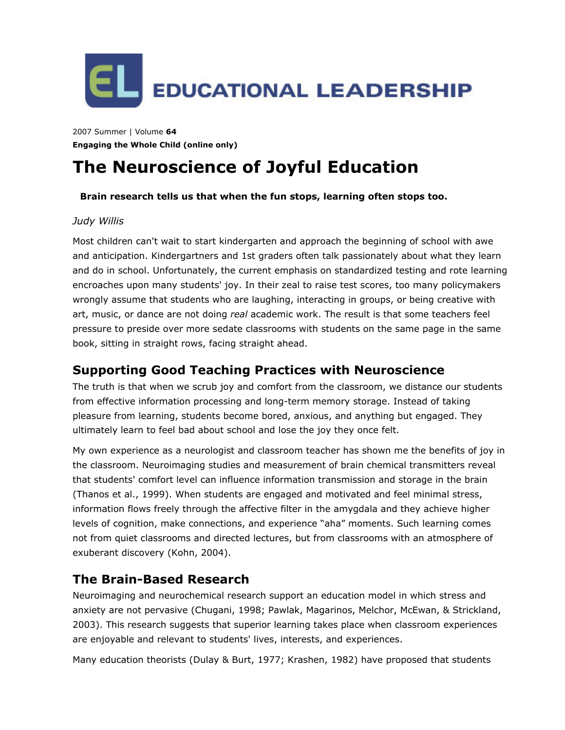

2007 Summer | Volume **64 Engaging the Whole Child (online only)**

# **The Neuroscience of Joyful Education**

#### **Brain research tells us that when the fun stops, learning often stops too.**

#### *Judy Willis*

Most children can't wait to start kindergarten and approach the beginning of school with awe and anticipation. Kindergartners and 1st graders often talk passionately about what they learn and do in school. Unfortunately, the current emphasis on standardized testing and rote learning encroaches upon many students' joy. In their zeal to raise test scores, too many policymakers wrongly assume that students who are laughing, interacting in groups, or being creative with art, music, or dance are not doing *real* academic work. The result is that some teachers feel pressure to preside over more sedate classrooms with students on the same page in the same book, sitting in straight rows, facing straight ahead.

## **Supporting Good Teaching Practices with Neuroscience**

The truth is that when we scrub joy and comfort from the classroom, we distance our students from effective information processing and long-term memory storage. Instead of taking pleasure from learning, students become bored, anxious, and anything but engaged. They ultimately learn to feel bad about school and lose the joy they once felt.

My own experience as a neurologist and classroom teacher has shown me the benefits of joy in the classroom. Neuroimaging studies and measurement of brain chemical transmitters reveal that students' comfort level can influence information transmission and storage in the brain (Thanos et al., 1999). When students are engaged and motivated and feel minimal stress, information flows freely through the affective filter in the amygdala and they achieve higher levels of cognition, make connections, and experience "aha" moments. Such learning comes not from quiet classrooms and directed lectures, but from classrooms with an atmosphere of exuberant discovery (Kohn, 2004).

## **The Brain-Based Research**

Neuroimaging and neurochemical research support an education model in which stress and anxiety are not pervasive (Chugani, 1998; Pawlak, Magarinos, Melchor, McEwan, & Strickland, 2003). This research suggests that superior learning takes place when classroom experiences are enjoyable and relevant to students' lives, interests, and experiences.

Many education theorists (Dulay & Burt, 1977; Krashen, 1982) have proposed that students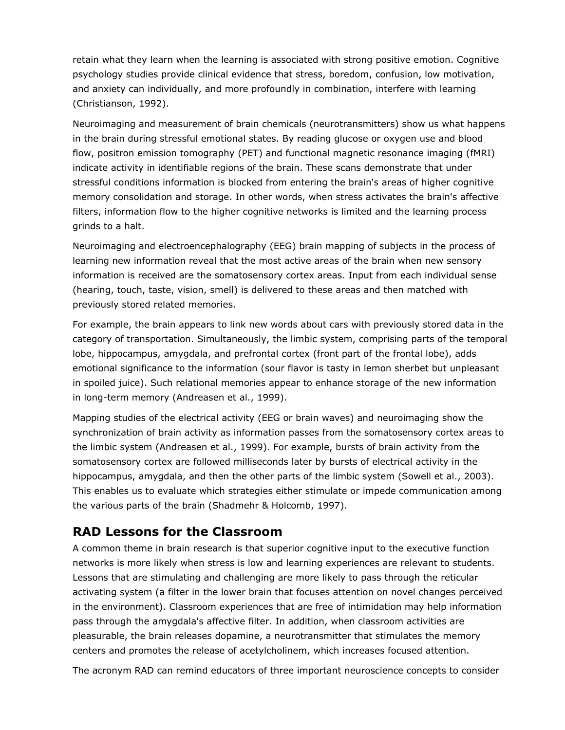retain what they learn when the learning is associated with strong positive emotion. Cognitive psychology studies provide clinical evidence that stress, boredom, confusion, low motivation, and anxiety can individually, and more profoundly in combination, interfere with learning (Christianson, 1992).

Neuroimaging and measurement of brain chemicals (neurotransmitters) show us what happens in the brain during stressful emotional states. By reading glucose or oxygen use and blood flow, positron emission tomography (PET) and functional magnetic resonance imaging (fMRI) indicate activity in identifiable regions of the brain. These scans demonstrate that under stressful conditions information is blocked from entering the brain's areas of higher cognitive memory consolidation and storage. In other words, when stress activates the brain's affective filters, information flow to the higher cognitive networks is limited and the learning process grinds to a halt.

Neuroimaging and electroencephalography (EEG) brain mapping of subjects in the process of learning new information reveal that the most active areas of the brain when new sensory information is received are the somatosensory cortex areas. Input from each individual sense (hearing, touch, taste, vision, smell) is delivered to these areas and then matched with previously stored related memories.

For example, the brain appears to link new words about cars with previously stored data in the category of transportation. Simultaneously, the limbic system, comprising parts of the temporal lobe, hippocampus, amygdala, and prefrontal cortex (front part of the frontal lobe), adds emotional significance to the information (sour flavor is tasty in lemon sherbet but unpleasant in spoiled juice). Such relational memories appear to enhance storage of the new information in long-term memory (Andreasen et al., 1999).

Mapping studies of the electrical activity (EEG or brain waves) and neuroimaging show the synchronization of brain activity as information passes from the somatosensory cortex areas to the limbic system (Andreasen et al., 1999). For example, bursts of brain activity from the somatosensory cortex are followed milliseconds later by bursts of electrical activity in the hippocampus, amygdala, and then the other parts of the limbic system (Sowell et al., 2003). This enables us to evaluate which strategies either stimulate or impede communication among the various parts of the brain (Shadmehr & Holcomb, 1997).

# **RAD Lessons for the Classroom**

A common theme in brain research is that superior cognitive input to the executive function networks is more likely when stress is low and learning experiences are relevant to students. Lessons that are stimulating and challenging are more likely to pass through the reticular activating system (a filter in the lower brain that focuses attention on novel changes perceived in the environment). Classroom experiences that are free of intimidation may help information pass through the amygdala's affective filter. In addition, when classroom activities are pleasurable, the brain releases dopamine, a neurotransmitter that stimulates the memory centers and promotes the release of acetylcholinem, which increases focused attention.

The acronym RAD can remind educators of three important neuroscience concepts to consider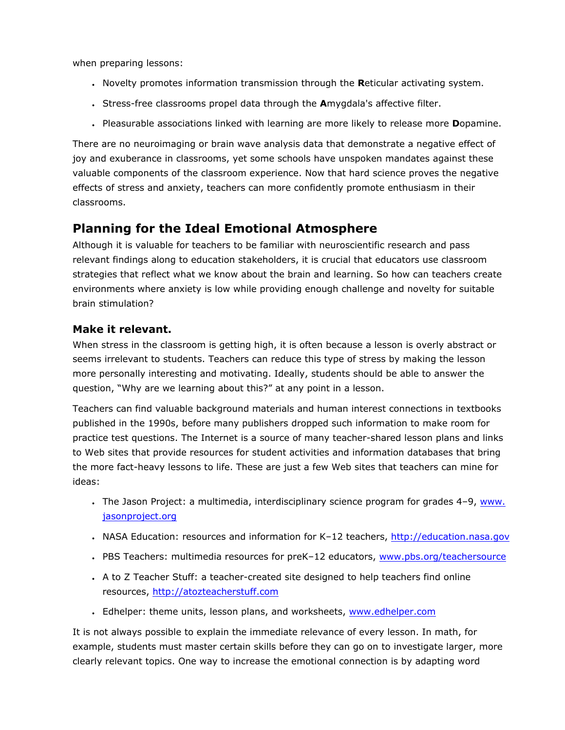when preparing lessons:

- Novelty promotes information transmission through the **R**eticular activating system.
- Stress-free classrooms propel data through the **A**mygdala's affective filter.
- Pleasurable associations linked with learning are more likely to release more **D**opamine.

There are no neuroimaging or brain wave analysis data that demonstrate a negative effect of joy and exuberance in classrooms, yet some schools have unspoken mandates against these valuable components of the classroom experience. Now that hard science proves the negative effects of stress and anxiety, teachers can more confidently promote enthusiasm in their classrooms.

# **Planning for the Ideal Emotional Atmosphere**

Although it is valuable for teachers to be familiar with neuroscientific research and pass relevant findings along to education stakeholders, it is crucial that educators use classroom strategies that reflect what we know about the brain and learning. So how can teachers create environments where anxiety is low while providing enough challenge and novelty for suitable brain stimulation?

#### **Make it relevant.**

When stress in the classroom is getting high, it is often because a lesson is overly abstract or seems irrelevant to students. Teachers can reduce this type of stress by making the lesson more personally interesting and motivating. Ideally, students should be able to answer the question, "Why are we learning about this?" at any point in a lesson.

Teachers can find valuable background materials and human interest connections in textbooks published in the 1990s, before many publishers dropped such information to make room for practice test questions. The Internet is a source of many teacher-shared lesson plans and links to Web sites that provide resources for student activities and information databases that bring the more fact-heavy lessons to life. These are just a few Web sites that teachers can mine for ideas:

- The Jason Project: a multimedia, interdisciplinary science program for grades 4-9, [www.](http://www.jasonproject.org/) [jasonproject.org](http://www.jasonproject.org/)
- NASA Education: resources and information for K-12 teachers, [http://education.nasa.gov](http://education.nasa.gov/)
- PBS Teachers: multimedia resources for preK-12 educators, [www.pbs.org/teachersource](http://www.pbs.org/teachersource)
- A to Z Teacher Stuff: a teacher-created site designed to help teachers find online resources, [http://atozteacherstuff.com](http://atozteacherstuff.com/)
- Edhelper: theme units, lesson plans, and worksheets, [www.edhelper.com](http://www.edhelper.com/)

It is not always possible to explain the immediate relevance of every lesson. In math, for example, students must master certain skills before they can go on to investigate larger, more clearly relevant topics. One way to increase the emotional connection is by adapting word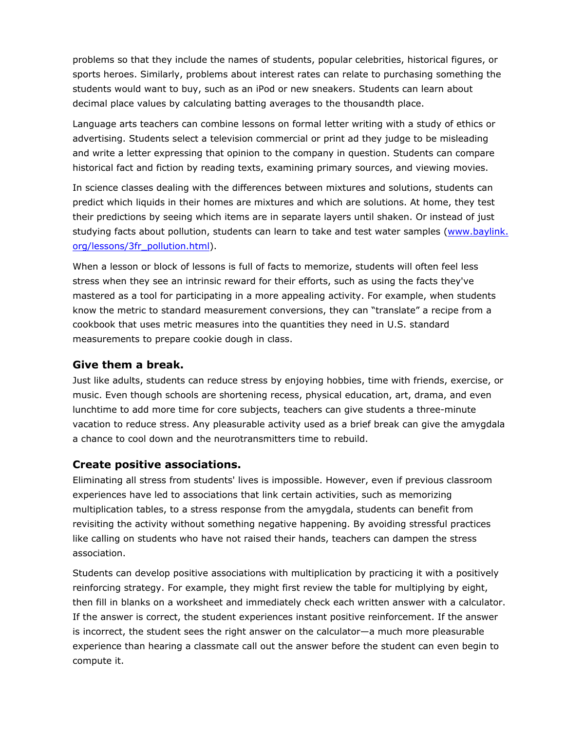problems so that they include the names of students, popular celebrities, historical figures, or sports heroes. Similarly, problems about interest rates can relate to purchasing something the students would want to buy, such as an iPod or new sneakers. Students can learn about decimal place values by calculating batting averages to the thousandth place.

Language arts teachers can combine lessons on formal letter writing with a study of ethics or advertising. Students select a television commercial or print ad they judge to be misleading and write a letter expressing that opinion to the company in question. Students can compare historical fact and fiction by reading texts, examining primary sources, and viewing movies.

In science classes dealing with the differences between mixtures and solutions, students can predict which liquids in their homes are mixtures and which are solutions. At home, they test their predictions by seeing which items are in separate layers until shaken. Or instead of just studying facts about pollution, students can learn to take and test water samples [\(www.baylink.](http://www.baylink.org/lessons/3fr_pollution.html) [org/lessons/3fr\\_pollution.html](http://www.baylink.org/lessons/3fr_pollution.html)).

When a lesson or block of lessons is full of facts to memorize, students will often feel less stress when they see an intrinsic reward for their efforts, such as using the facts they've mastered as a tool for participating in a more appealing activity. For example, when students know the metric to standard measurement conversions, they can "translate" a recipe from a cookbook that uses metric measures into the quantities they need in U.S. standard measurements to prepare cookie dough in class.

#### **Give them a break.**

Just like adults, students can reduce stress by enjoying hobbies, time with friends, exercise, or music. Even though schools are shortening recess, physical education, art, drama, and even lunchtime to add more time for core subjects, teachers can give students a three-minute vacation to reduce stress. Any pleasurable activity used as a brief break can give the amygdala a chance to cool down and the neurotransmitters time to rebuild.

#### **Create positive associations.**

Eliminating all stress from students' lives is impossible. However, even if previous classroom experiences have led to associations that link certain activities, such as memorizing multiplication tables, to a stress response from the amygdala, students can benefit from revisiting the activity without something negative happening. By avoiding stressful practices like calling on students who have not raised their hands, teachers can dampen the stress association.

Students can develop positive associations with multiplication by practicing it with a positively reinforcing strategy. For example, they might first review the table for multiplying by eight, then fill in blanks on a worksheet and immediately check each written answer with a calculator. If the answer is correct, the student experiences instant positive reinforcement. If the answer is incorrect, the student sees the right answer on the calculator—a much more pleasurable experience than hearing a classmate call out the answer before the student can even begin to compute it.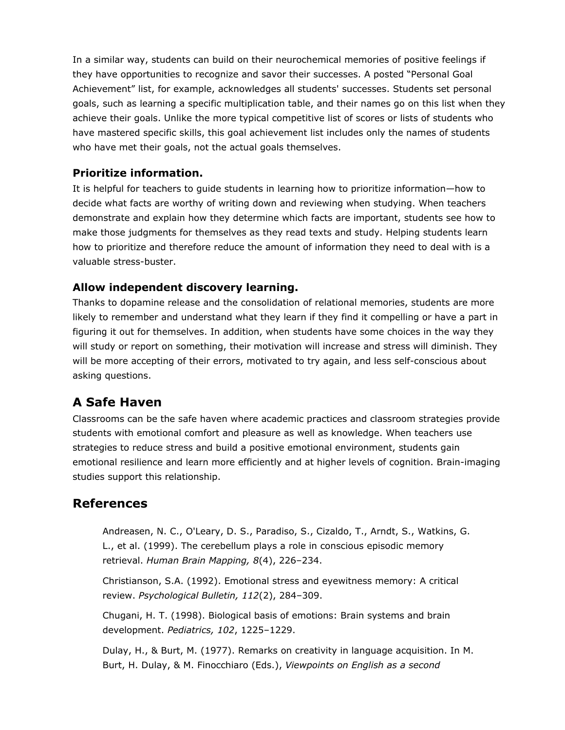In a similar way, students can build on their neurochemical memories of positive feelings if they have opportunities to recognize and savor their successes. A posted "Personal Goal Achievement" list, for example, acknowledges all students' successes. Students set personal goals, such as learning a specific multiplication table, and their names go on this list when they achieve their goals. Unlike the more typical competitive list of scores or lists of students who have mastered specific skills, this goal achievement list includes only the names of students who have met their goals, not the actual goals themselves.

#### **Prioritize information.**

It is helpful for teachers to guide students in learning how to prioritize information—how to decide what facts are worthy of writing down and reviewing when studying. When teachers demonstrate and explain how they determine which facts are important, students see how to make those judgments for themselves as they read texts and study. Helping students learn how to prioritize and therefore reduce the amount of information they need to deal with is a valuable stress-buster.

#### **Allow independent discovery learning.**

Thanks to dopamine release and the consolidation of relational memories, students are more likely to remember and understand what they learn if they find it compelling or have a part in figuring it out for themselves. In addition, when students have some choices in the way they will study or report on something, their motivation will increase and stress will diminish. They will be more accepting of their errors, motivated to try again, and less self-conscious about asking questions.

# **A Safe Haven**

Classrooms can be the safe haven where academic practices and classroom strategies provide students with emotional comfort and pleasure as well as knowledge. When teachers use strategies to reduce stress and build a positive emotional environment, students gain emotional resilience and learn more efficiently and at higher levels of cognition. Brain-imaging studies support this relationship.

# **References**

Andreasen, N. C., O'Leary, D. S., Paradiso, S., Cizaldo, T., Arndt, S., Watkins, G. L., et al. (1999). The cerebellum plays a role in conscious episodic memory retrieval. *Human Brain Mapping, 8*(4), 226–234.

Christianson, S.A. (1992). Emotional stress and eyewitness memory: A critical review. *Psychological Bulletin, 112*(2), 284–309.

Chugani, H. T. (1998). Biological basis of emotions: Brain systems and brain development. *Pediatrics, 102*, 1225–1229.

Dulay, H., & Burt, M. (1977). Remarks on creativity in language acquisition. In M. Burt, H. Dulay, & M. Finocchiaro (Eds.), *Viewpoints on English as a second*